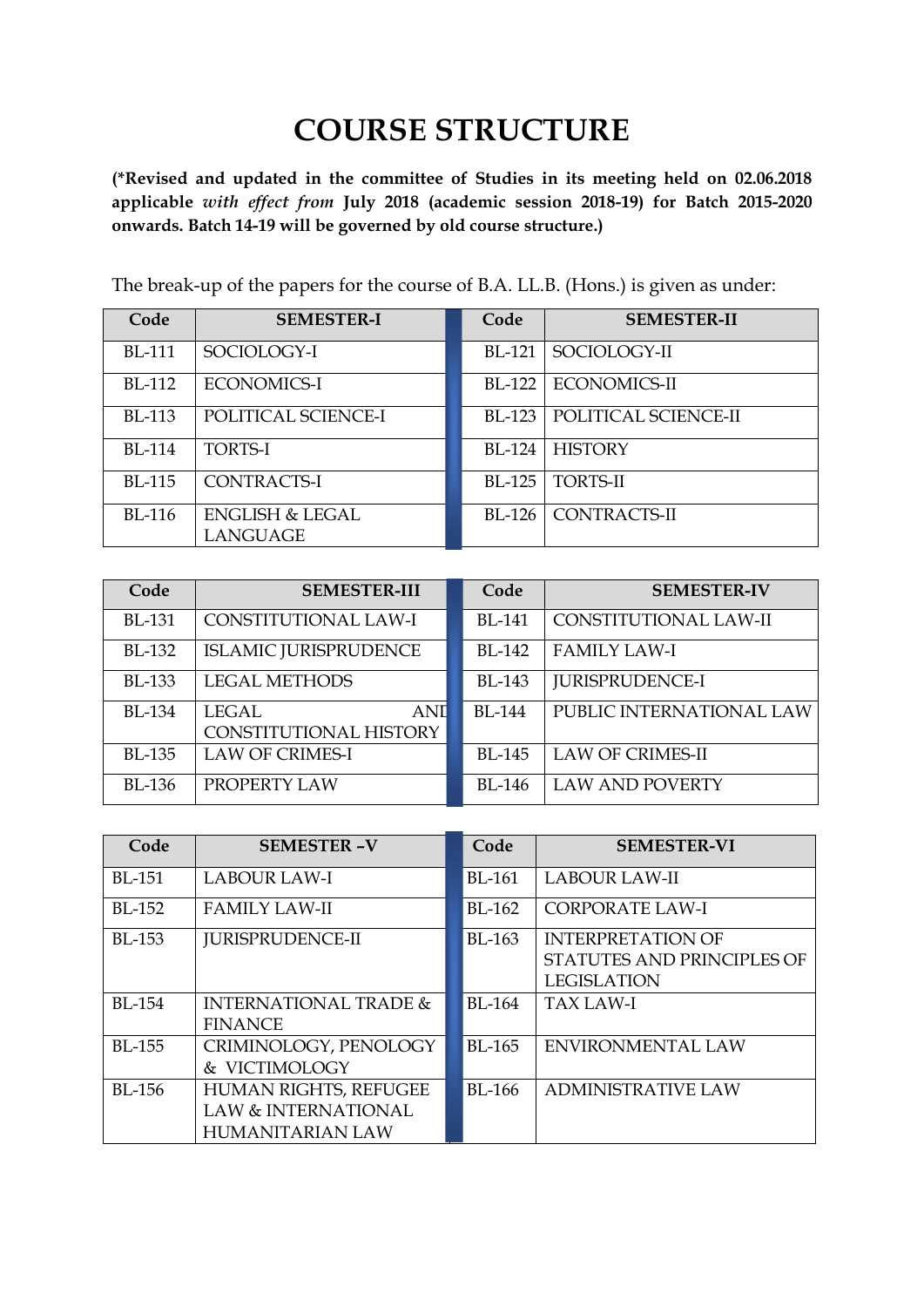## **COURSE STRUCTURE**

**(\*Revised and updated in the committee of Studies in its meeting held on 02.06.2018 applicable** *with effect from* **July 2018 (academic session 2018-19) for Batch 2015-2020 onwards. Batch 14-19 will be governed by old course structure.)**

| Code          | <b>SEMESTER-I</b>          | Code          | <b>SEMESTER-II</b>   |
|---------------|----------------------------|---------------|----------------------|
| <b>BL-111</b> | SOCIOLOGY-I                | <b>BL-121</b> | SOCIOLOGY-II         |
| <b>BL-112</b> | <b>ECONOMICS-I</b>         | BL-122        | <b>ECONOMICS-II</b>  |
| <b>BL-113</b> | POLITICAL SCIENCE-I        | $BI - 123$    | POLITICAL SCIENCE-II |
| <b>BL-114</b> | <b>TORTS-I</b>             | BL-124        | <b>HISTORY</b>       |
| <b>BL-115</b> | <b>CONTRACTS-I</b>         | <b>BL-125</b> | <b>TORTS-II</b>      |
| <b>BL-116</b> | <b>ENGLISH &amp; LEGAL</b> | $BI - 126$    | <b>CONTRACTS-II</b>  |
|               | <b>LANGUAGE</b>            |               |                      |

The break-up of the papers for the course of B.A. LL.B. (Hons.) is given as under:

| Code          | <b>SEMESTER-III</b>                           | Code          | <b>SEMESTER-IV</b>       |
|---------------|-----------------------------------------------|---------------|--------------------------|
| <b>BL-131</b> | CONSTITUTIONAL LAW-I                          | <b>BL-141</b> | CONSTITUTIONAL LAW-II    |
| <b>BL-132</b> | <b>ISLAMIC JURISPRUDENCE</b>                  | <b>BL-142</b> | <b>FAMILY LAW-I</b>      |
| <b>BL-133</b> | <b>LEGAL METHODS</b>                          | <b>BL-143</b> | <b>JURISPRUDENCE-I</b>   |
| <b>BL-134</b> | LEGAL<br><b>ANI</b><br>CONSTITUTIONAL HISTORY | <b>BL-144</b> | PUBLIC INTERNATIONAL LAW |
| <b>BL-135</b> | <b>LAW OF CRIMES-I</b>                        | <b>BL-145</b> | <b>LAW OF CRIMES-II</b>  |
| <b>BL-136</b> | PROPERTY LAW                                  | <b>BL-146</b> | <b>LAW AND POVERTY</b>   |

| Code          | <b>SEMESTER-V</b>                | Code          | <b>SEMESTER-VI</b>         |
|---------------|----------------------------------|---------------|----------------------------|
| <b>BL-151</b> | <b>LABOUR LAW-I</b>              | <b>BL-161</b> | <b>LABOUR LAW-II</b>       |
| <b>BL-152</b> | <b>FAMILY LAW-II</b>             | <b>BL-162</b> | <b>CORPORATE LAW-I</b>     |
| BL-153        | <b>JURISPRUDENCE-II</b>          | BL-163        | <b>INTERPRETATION OF</b>   |
|               |                                  |               | STATUTES AND PRINCIPLES OF |
|               |                                  |               | <b>LEGISLATION</b>         |
| <b>BL-154</b> | <b>INTERNATIONAL TRADE &amp;</b> | <b>BL-164</b> | <b>TAX LAW-I</b>           |
|               | <b>FINANCE</b>                   |               |                            |
| <b>BL-155</b> | CRIMINOLOGY, PENOLOGY            | <b>BL-165</b> | <b>ENVIRONMENTAL LAW</b>   |
|               | & VICTIMOLOGY                    |               |                            |
| $BI - 156$    | HUMAN RIGHTS, REFUGEE            | $BI - 166$    | <b>ADMINISTRATIVE LAW</b>  |
|               | LAW & INTERNATIONAL              |               |                            |
|               | <b>HUMANITARIAN LAW</b>          |               |                            |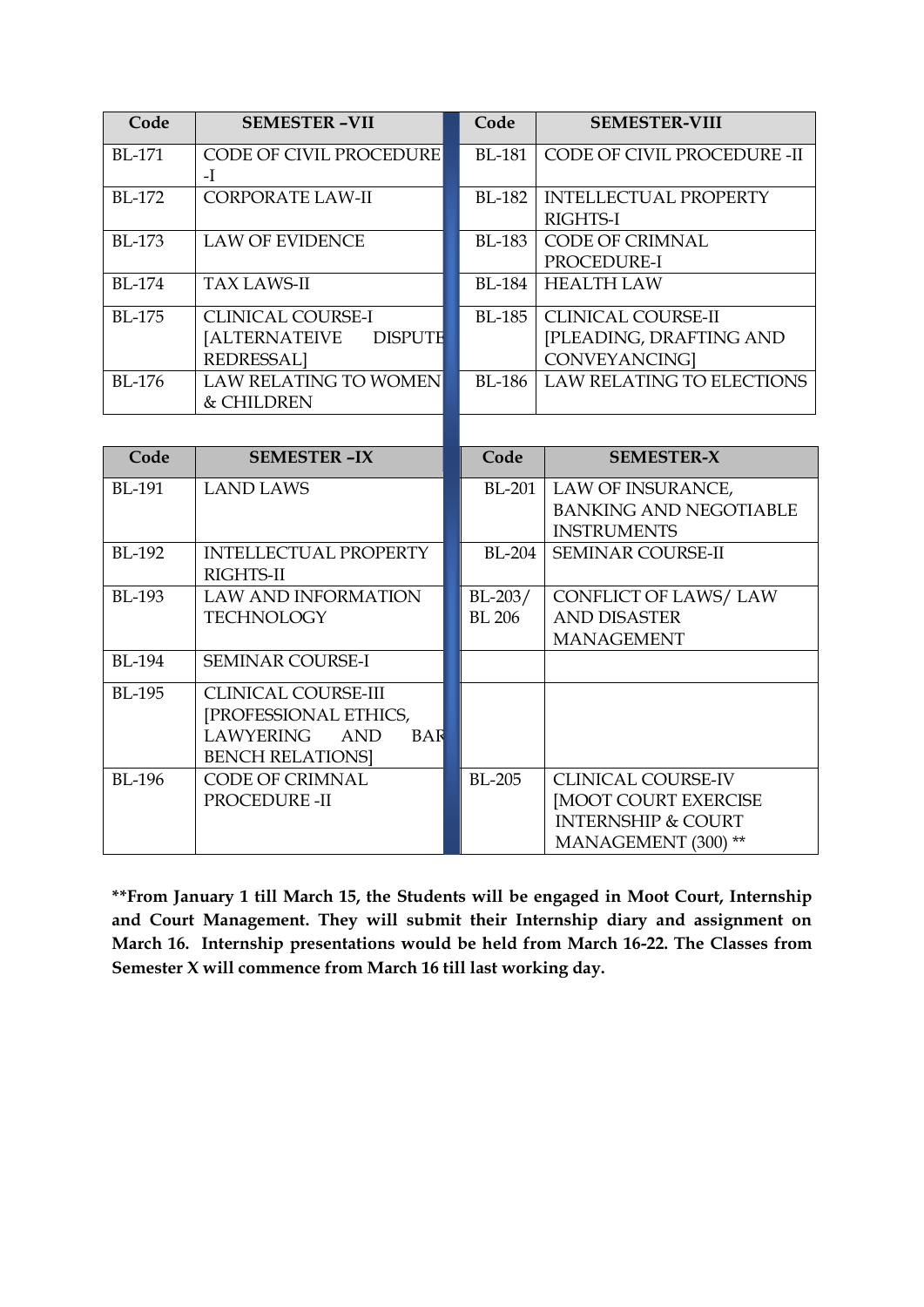| Code          | <b>SEMESTER-VII</b>             | Code          | <b>SEMESTER-VIII</b>             |
|---------------|---------------------------------|---------------|----------------------------------|
| $BI - 171$    | <b>CODE OF CIVIL PROCEDURE</b>  | <b>BL-181</b> | CODE OF CIVIL PROCEDURE -II      |
|               | $-I$                            |               |                                  |
| BL-172        | <b>CORPORATE LAW-II</b>         | <b>BL-182</b> | <b>INTELLECTUAL PROPERTY</b>     |
|               |                                 |               | RIGHTS-I                         |
| <b>BL-173</b> | <b>LAW OF EVIDENCE</b>          | <b>BL-183</b> | <b>CODE OF CRIMNAL</b>           |
|               |                                 |               | PROCEDURE-I                      |
| <b>BL-174</b> | <b>TAX LAWS-II</b>              | <b>BL-184</b> | <b>HEALTH LAW</b>                |
| <b>BL-175</b> | <b>CLINICAL COURSE-I</b>        | <b>BL-185</b> | <b>CLINICAL COURSE-II</b>        |
|               | [ALTERNATEIVE<br><b>DISPUTH</b> |               | [PLEADING, DRAFTING AND          |
|               | <b>REDRESSAL]</b>               |               | <b>CONVEYANCING</b>              |
| <b>BL-176</b> | <b>LAW RELATING TO WOMEN</b>    | <b>BL-186</b> | <b>LAW RELATING TO ELECTIONS</b> |
|               | & CHILDREN                      |               |                                  |
|               |                                 |               |                                  |
| Code          | <b>SEMESTER-IX</b>              | Code          | <b>SEMESTER-X</b>                |
| <b>BL-191</b> | <b>LAND LAWS</b>                | <b>BL-201</b> | LAW OF INSURANCE,                |
|               |                                 |               | <b>BANKING AND NEGOTIABLE</b>    |
|               |                                 |               | <b>INSTRUMENTS</b>               |
| <b>BL-192</b> | <b>INTELLECTUAL PROPERTY</b>    | <b>BL-204</b> | <b>SEMINAR COURSE-II</b>         |
|               | RIGHTS-II                       |               |                                  |
| <b>BL-193</b> | <b>LAW AND INFORMATION</b>      | $BL-203/$     | <b>CONFLICT OF LAWS/LAW</b>      |
|               | <b>TECHNOLOGY</b>               | <b>BL</b> 206 | <b>AND DISASTER</b>              |

| **From January 1 till March 15, the Students will be engaged in Moot Court, Internship |
|----------------------------------------------------------------------------------------|
| and Court Management. They will submit their Internship diary and assignment on        |
| March 16. Internship presentations would be held from March 16-22. The Classes from    |
| Semester X will commence from March 16 till last working day.                          |

BL-194 SEMINAR COURSE-I

BL-196 CODE OF CRIMNAL

BL-195 CLINICAL COURSE-III

[PROFESSIONAL ETHICS, LAWYERING AND BAR-

BENCH RELATIONS]

PROCEDURE -II

MANAGEMENT

BL-205 CLINICAL COURSE-IV

[MOOT COURT EXERCISE INTERNSHIP & COURT MANAGEMENT (300) \*\*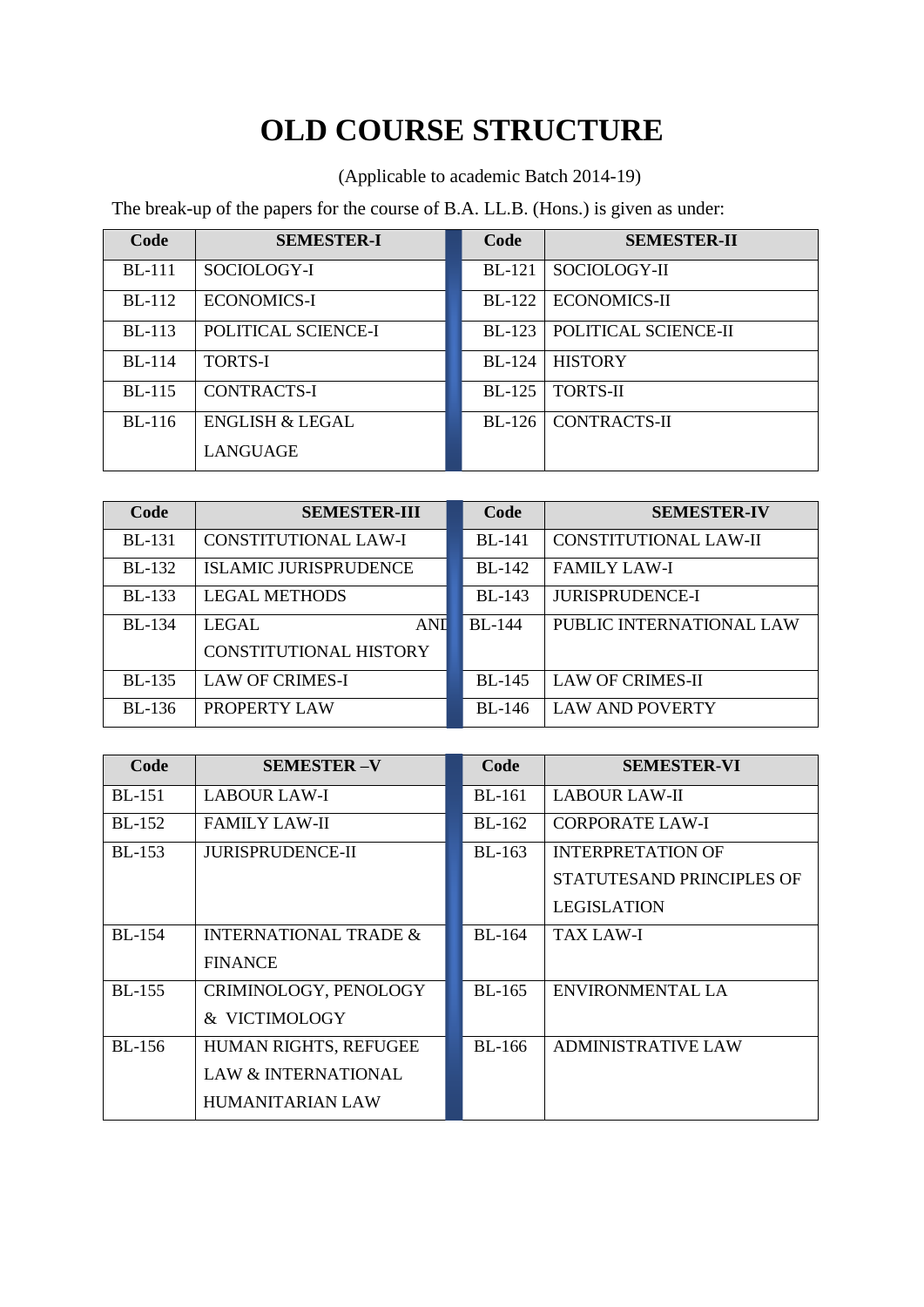## **OLD COURSE STRUCTURE**

(Applicable to academic Batch 2014-19)

The break-up of the papers for the course of B.A. LL.B. (Hons.) is given as under:

| Code          | <b>SEMESTER-I</b>   | Code          | <b>SEMESTER-II</b>   |
|---------------|---------------------|---------------|----------------------|
| <b>BL-111</b> | SOCIOLOGY-I         | <b>BL-121</b> | SOCIOLOGY-II         |
| <b>BL-112</b> | <b>ECONOMICS-I</b>  | <b>BL-122</b> | <b>ECONOMICS-II</b>  |
| <b>BL-113</b> | POLITICAL SCIENCE-I | $BI - 123$    | POLITICAL SCIENCE-II |
| <b>BL-114</b> | <b>TORTS-I</b>      | <b>BL-124</b> | <b>HISTORY</b>       |
| <b>BL-115</b> | <b>CONTRACTS-I</b>  | <b>BL-125</b> | <b>TORTS-II</b>      |
| $BL-116$      | ENGLISH & LEGAL     | $BL-126$      | <b>CONTRACTS-II</b>  |
|               | LANGUAGE            |               |                      |

| Code          | <b>SEMESTER-III</b>           | Code          | <b>SEMESTER-IV</b>       |
|---------------|-------------------------------|---------------|--------------------------|
| <b>BL-131</b> | CONSTITUTIONAL LAW-I          | <b>BL-141</b> | CONSTITUTIONAL LAW-II    |
| <b>BL-132</b> | <b>ISLAMIC JURISPRUDENCE</b>  | <b>BL-142</b> | <b>FAMILY LAW-I</b>      |
| <b>BL-133</b> | <b>LEGAL METHODS</b>          | <b>BL-143</b> | <b>JURISPRUDENCE-I</b>   |
| <b>BL-134</b> | <b>ANI</b><br>LEGAL           | <b>BL-144</b> | PUBLIC INTERNATIONAL LAW |
|               | <b>CONSTITUTIONAL HISTORY</b> |               |                          |
| <b>BL-135</b> | <b>LAW OF CRIMES-I</b>        | <b>BL-145</b> | <b>LAW OF CRIMES-II</b>  |
| BL-136        | PROPERTY LAW                  | BL-146        | <b>LAW AND POVERTY</b>   |

| Code          | <b>SEMESTER-V</b>                | Code          | <b>SEMESTER-VI</b>        |
|---------------|----------------------------------|---------------|---------------------------|
| <b>BL-151</b> | <b>LABOUR LAW-I</b>              | <b>BL-161</b> | <b>LABOUR LAW-II</b>      |
| <b>BL-152</b> | <b>FAMILY LAW-II</b>             | BL-162        | <b>CORPORATE LAW-I</b>    |
| <b>BL-153</b> | <b>JURISPRUDENCE-II</b>          | $BL-163$      | <b>INTERPRETATION OF</b>  |
|               |                                  |               | STATUTESAND PRINCIPLES OF |
|               |                                  |               | <b>LEGISLATION</b>        |
| $BI - 154$    | <b>INTERNATIONAL TRADE &amp;</b> | $BL-164$      | TAX LAW-I                 |
|               | <b>FINANCE</b>                   |               |                           |
| <b>BL-155</b> | CRIMINOLOGY, PENOLOGY            | BL-165        | ENVIRONMENTAL LA          |
|               | & VICTIMOLOGY                    |               |                           |
| <b>BL-156</b> | HUMAN RIGHTS, REFUGEE            | BL-166        | <b>ADMINISTRATIVE LAW</b> |
|               | <b>LAW &amp; INTERNATIONAL</b>   |               |                           |
|               | <b>HUMANITARIAN LAW</b>          |               |                           |